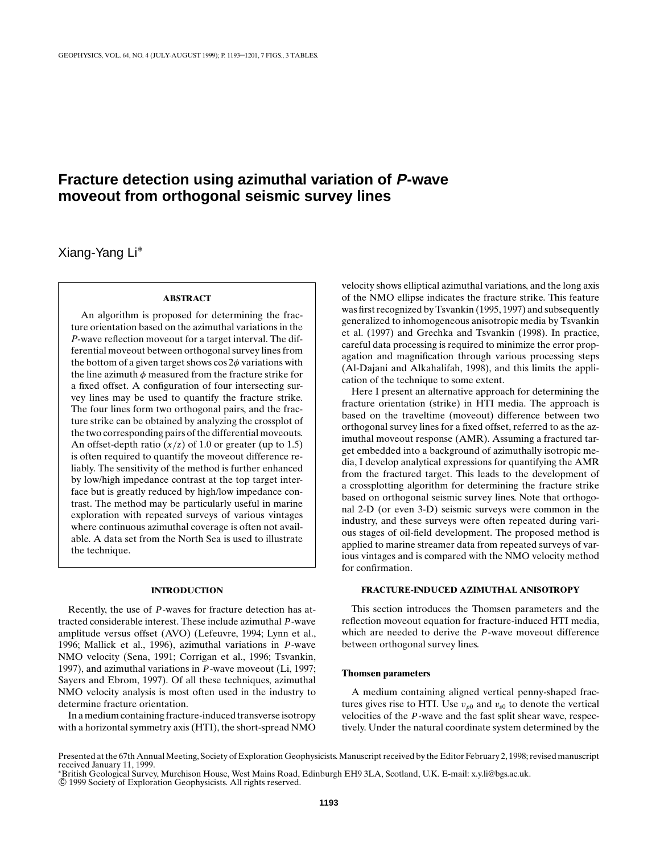# **Fracture detection using azimuthal variation of P-wave moveout from orthogonal seismic survey lines**

Xiang-Yang Li∗

#### **ABSTRACT**

An algorithm is proposed for determining the fracture orientation based on the azimuthal variations in the *P*-wave reflection moveout for a target interval. The differential moveout between orthogonal survey lines from the bottom of a given target shows  $\cos 2\phi$  variations with the line azimuth  $\phi$  measured from the fracture strike for a fixed offset. A configuration of four intersecting survey lines may be used to quantify the fracture strike. The four lines form two orthogonal pairs, and the fracture strike can be obtained by analyzing the crossplot of the two corresponding pairs of the differential moveouts. An offset-depth ratio  $(x/z)$  of 1.0 or greater (up to 1.5) is often required to quantify the moveout difference reliably. The sensitivity of the method is further enhanced by low/high impedance contrast at the top target interface but is greatly reduced by high/low impedance contrast. The method may be particularly useful in marine exploration with repeated surveys of various vintages where continuous azimuthal coverage is often not available. A data set from the North Sea is used to illustrate the technique.

# **INTRODUCTION**

Recently, the use of *P*-waves for fracture detection has attracted considerable interest. These include azimuthal *P*-wave amplitude versus offset (AVO) (Lefeuvre, 1994; Lynn et al., 1996; Mallick et al., 1996), azimuthal variations in *P*-wave NMO velocity (Sena, 1991; Corrigan et al., 1996; Tsvankin, 1997), and azimuthal variations in *P*-wave moveout (Li, 1997; Sayers and Ebrom, 1997). Of all these techniques, azimuthal NMO velocity analysis is most often used in the industry to determine fracture orientation.

In a medium containing fracture-induced transverse isotropy with a horizontal symmetry axis (HTI), the short-spread NMO

velocity shows elliptical azimuthal variations, and the long axis of the NMO ellipse indicates the fracture strike. This feature was first recognized by Tsvankin (1995, 1997) and subsequently generalized to inhomogeneous anisotropic media by Tsvankin et al. (1997) and Grechka and Tsvankin (1998). In practice, careful data processing is required to minimize the error propagation and magnification through various processing steps (Al-Dajani and Alkahalifah, 1998), and this limits the application of the technique to some extent.

Here I present an alternative approach for determining the fracture orientation (strike) in HTI media. The approach is based on the traveltime (moveout) difference between two orthogonal survey lines for a fixed offset, referred to as the azimuthal moveout response (AMR). Assuming a fractured target embedded into a background of azimuthally isotropic media, I develop analytical expressions for quantifying the AMR from the fractured target. This leads to the development of a crossplotting algorithm for determining the fracture strike based on orthogonal seismic survey lines. Note that orthogonal 2-D (or even 3-D) seismic surveys were common in the industry, and these surveys were often repeated during various stages of oil-field development. The proposed method is applied to marine streamer data from repeated surveys of various vintages and is compared with the NMO velocity method for confirmation.

# **FRACTURE-INDUCED AZIMUTHAL ANISOTROPY**

This section introduces the Thomsen parameters and the reflection moveout equation for fracture-induced HTI media, which are needed to derive the *P*-wave moveout difference between orthogonal survey lines.

#### **Thomsen parameters**

A medium containing aligned vertical penny-shaped fractures gives rise to HTI. Use  $v_{p0}$  and  $v_{s0}$  to denote the vertical velocities of the *P*-wave and the fast split shear wave, respectively. Under the natural coordinate system determined by the

Presented at the 67th Annual Meeting, Society of Exploration Geophysicists. Manuscript received by the Editor February 2, 1998; revised manuscript received January 11, 1999. <sup>∗</sup>British Geological Survey, Murchison House, West Mains Road, Edinburgh EH9 3LA, Scotland, U.K. E-mail: x.y.li@bgs.ac.uk.

<sup>°</sup>c 1999 Society of Exploration Geophysicists. All rights reserved.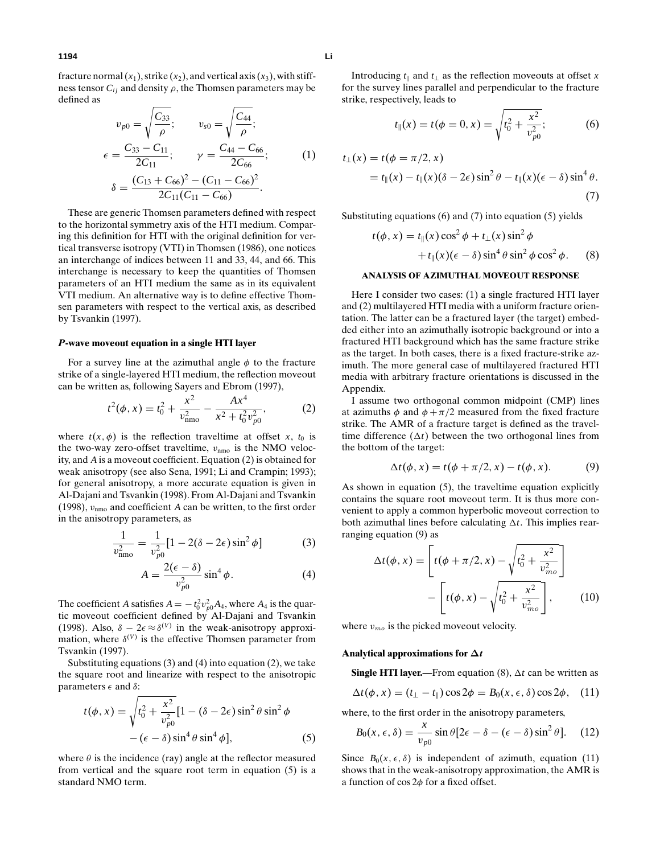fracture normal  $(x_1)$ , strike  $(x_2)$ , and vertical axis  $(x_3)$ , with stiffness tensor  $C_{ij}$  and density  $\rho$ , the Thomsen parameters may be defined as

$$
v_{p0} = \sqrt{\frac{C_{33}}{\rho}}; \qquad v_{s0} = \sqrt{\frac{C_{44}}{\rho}}; \n\epsilon = \frac{C_{33} - C_{11}}{2C_{11}}; \qquad \gamma = \frac{C_{44} - C_{66}}{2C_{66}}; \n\delta = \frac{(C_{13} + C_{66})^2 - (C_{11} - C_{66})^2}{2C_{11}(C_{11} - C_{66})}.
$$
\n(1)

These are generic Thomsen parameters defined with respect to the horizontal symmetry axis of the HTI medium. Comparing this definition for HTI with the original definition for vertical transverse isotropy (VTI) in Thomsen (1986), one notices an interchange of indices between 11 and 33, 44, and 66. This interchange is necessary to keep the quantities of Thomsen parameters of an HTI medium the same as in its equivalent VTI medium. An alternative way is to define effective Thomsen parameters with respect to the vertical axis, as described by Tsvankin (1997).

## *P***-wave moveout equation in a single HTI layer**

For a survey line at the azimuthal angle  $\phi$  to the fracture strike of a single-layered HTI medium, the reflection moveout can be written as, following Sayers and Ebrom (1997),

$$
t^{2}(\phi, x) = t_{0}^{2} + \frac{x^{2}}{v_{\text{mno}}^{2}} - \frac{Ax^{4}}{x^{2} + t_{0}^{2}v_{p0}^{2}},
$$
 (2)

where  $t(x, \phi)$  is the reflection traveltime at offset *x*,  $t_0$  is the two-way zero-offset traveltime,  $v_{\text{nmo}}$  is the NMO velocity, and *A* is a moveout coefficient. Equation (2) is obtained for weak anisotropy (see also Sena, 1991; Li and Crampin; 1993); for general anisotropy, a more accurate equation is given in Al-Dajani and Tsvankin (1998). From Al-Dajani and Tsvankin (1998),  $v_{\text{nmo}}$  and coefficient *A* can be written, to the first order in the anisotropy parameters, as

$$
\frac{1}{v_{\rm nmo}^2} = \frac{1}{v_{p0}^2} [1 - 2(\delta - 2\epsilon) \sin^2 \phi] \tag{3}
$$

$$
A = \frac{2(\epsilon - \delta)}{v_{p0}^2} \sin^4 \phi.
$$
 (4)

The coefficient *A* satisfies  $A = -t_0^2 v_{p0}^2 A_4$ , where  $A_4$  is the quartic moveout coefficient defined by Al-Dajani and Tsvankin (1998). Also,  $\delta - 2\epsilon \approx \delta^{(V)}$  in the weak-anisotropy approximation, where  $\delta^{(V)}$  is the effective Thomsen parameter from Tsvankin (1997).

Substituting equations  $(3)$  and  $(4)$  into equation  $(2)$ , we take the square root and linearize with respect to the anisotropic parameters  $\epsilon$  and  $\delta$ :

$$
t(\phi, x) = \sqrt{t_0^2 + \frac{x^2}{v_{p0}^2}} [1 - (\delta - 2\epsilon) \sin^2 \theta \sin^2 \phi
$$

$$
- (\epsilon - \delta) \sin^4 \theta \sin^4 \phi], \tag{5}
$$

where  $\theta$  is the incidence (ray) angle at the reflector measured from vertical and the square root term in equation (5) is a standard NMO term.

Introducing  $t_{\parallel}$  and  $t_{\perp}$  as the reflection moveouts at offset *x* for the survey lines parallel and perpendicular to the fracture strike, respectively, leads to

$$
t_{\parallel}(x) = t(\phi = 0, x) = \sqrt{t_0^2 + \frac{x^2}{v_{p0}^2}};
$$
 (6)

$$
t_{\perp}(x) = t(\phi = \pi/2, x)
$$
  
=  $t_{\parallel}(x) - t_{\parallel}(x)(\delta - 2\epsilon) \sin^2 \theta - t_{\parallel}(x)(\epsilon - \delta) \sin^4 \theta$ . (7)

Substituting equations (6) and (7) into equation (5) yields

$$
t(\phi, x) = t_{\parallel}(x)\cos^2\phi + t_{\perp}(x)\sin^2\phi
$$
  
+ 
$$
t_{\parallel}(x)(\epsilon - \delta)\sin^4\theta\sin^2\phi\cos^2\phi.
$$
 (8)

## **ANALYSIS OF AZIMUTHAL MOVEOUT RESPONSE**

Here I consider two cases: (1) a single fractured HTI layer and (2) multilayered HTI media with a uniform fracture orientation. The latter can be a fractured layer (the target) embedded either into an azimuthally isotropic background or into a fractured HTI background which has the same fracture strike as the target. In both cases, there is a fixed fracture-strike azimuth. The more general case of multilayered fractured HTI media with arbitrary fracture orientations is discussed in the Appendix.

I assume two orthogonal common midpoint (CMP) lines at azimuths  $\phi$  and  $\phi + \pi/2$  measured from the fixed fracture strike. The AMR of a fracture target is defined as the traveltime difference  $(\Delta t)$  between the two orthogonal lines from the bottom of the target:

$$
\Delta t(\phi, x) = t(\phi + \pi/2, x) - t(\phi, x). \tag{9}
$$

As shown in equation (5), the traveltime equation explicitly contains the square root moveout term. It is thus more convenient to apply a common hyperbolic moveout correction to both azimuthal lines before calculating  $\Delta t$ . This implies rearranging equation (9) as

$$
\Delta t(\phi, x) = \left[ t(\phi + \pi/2, x) - \sqrt{t_0^2 + \frac{x^2}{v_{mo}^2}} \right] - \left[ t(\phi, x) - \sqrt{t_0^2 + \frac{x^2}{v_{mo}^2}} \right],
$$
(10)

where  $v_{mo}$  is the picked moveout velocity.

#### **Analytical approximations for ∆***t*

**Single HTI layer.—**From equation (8),  $\Delta t$  can be written as

$$
\Delta t(\phi, x) = (t_{\perp} - t_{\parallel}) \cos 2\phi = B_0(x, \epsilon, \delta) \cos 2\phi, \quad (11)
$$

where, to the first order in the anisotropy parameters,

$$
B_0(x,\epsilon,\delta) = \frac{x}{v_{p0}} \sin \theta [2\epsilon - \delta - (\epsilon - \delta) \sin^2 \theta].
$$
 (12)

Since  $B_0(x, \epsilon, \delta)$  is independent of azimuth, equation (11) shows that in the weak-anisotropy approximation, the AMR is a function of  $\cos 2\phi$  for a fixed offset.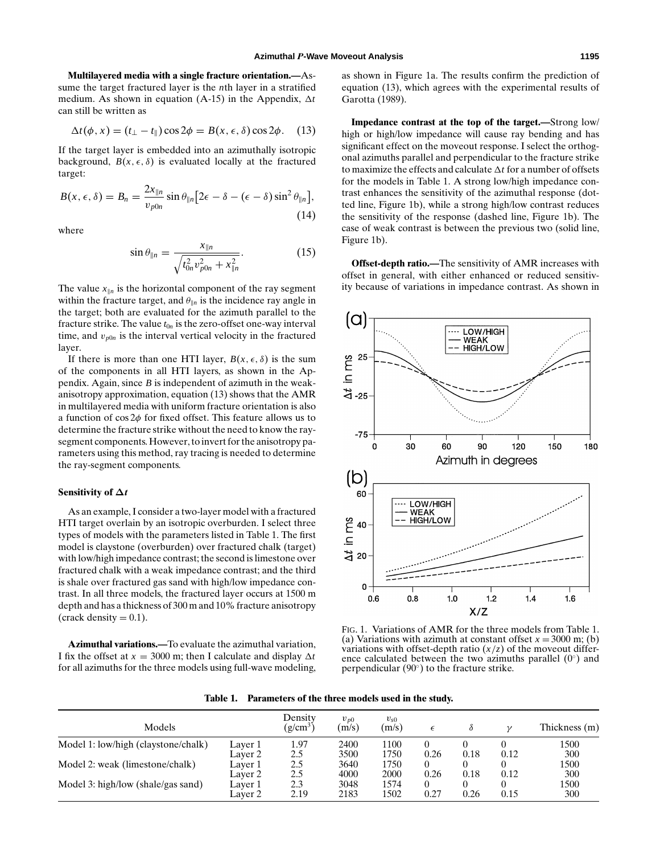**Multilayered media with a single fracture orientation.—**Assume the target fractured layer is the *n*th layer in a stratified medium. As shown in equation (A-15) in the Appendix,  $\Delta t$ can still be written as

$$
\Delta t(\phi, x) = (t_{\perp} - t_{\parallel}) \cos 2\phi = B(x, \epsilon, \delta) \cos 2\phi. \quad (13)
$$

If the target layer is embedded into an azimuthally isotropic background,  $B(x, \epsilon, \delta)$  is evaluated locally at the fractured target:

$$
B(x,\epsilon,\delta) = B_n = \frac{2x_{\parallel n}}{v_{p0n}} \sin \theta_{\parallel n} \left[ 2\epsilon - \delta - (\epsilon - \delta) \sin^2 \theta_{\parallel n} \right],
$$
\n(14)

where

$$
\sin \theta_{\parallel n} = \frac{x_{\parallel n}}{\sqrt{t_{0n}^2 v_{p0n}^2 + x_{\parallel n}^2}}.
$$
\n(15)

The value  $x_{\parallel n}$  is the horizontal component of the ray segment within the fracture target, and  $\theta_{\parallel n}$  is the incidence ray angle in the target; both are evaluated for the azimuth parallel to the fracture strike. The value  $t_{0n}$  is the zero-offset one-way interval time, and  $v_{p0n}$  is the interval vertical velocity in the fractured layer.

If there is more than one HTI layer,  $B(x, \epsilon, \delta)$  is the sum of the components in all HTI layers, as shown in the Appendix. Again, since *B* is independent of azimuth in the weakanisotropy approximation, equation (13) shows that the AMR in multilayered media with uniform fracture orientation is also a function of  $\cos 2\phi$  for fixed offset. This feature allows us to determine the fracture strike without the need to know the raysegment components. However, to invert for the anisotropy parameters using this method, ray tracing is needed to determine the ray-segment components.

## **Sensitivity of ∆***t*

As an example, I consider a two-layer model with a fractured HTI target overlain by an isotropic overburden. I select three types of models with the parameters listed in Table 1. The first model is claystone (overburden) over fractured chalk (target) with low/high impedance contrast; the second is limestone over fractured chalk with a weak impedance contrast; and the third is shale over fractured gas sand with high/low impedance contrast. In all three models, the fractured layer occurs at 1500 m depth and has a thickness of 300 m and 10% fracture anisotropy (crack density  $= 0.1$ ).

**Azimuthal variations.—**To evaluate the azimuthal variation, I fix the offset at  $x = 3000$  m; then I calculate and display  $\Delta t$ for all azimuths for the three models using full-wave modeling,

as shown in Figure 1a. The results confirm the prediction of equation (13), which agrees with the experimental results of Garotta (1989).

**Impedance contrast at the top of the target.—**Strong low/ high or high/low impedance will cause ray bending and has significant effect on the moveout response. I select the orthogonal azimuths parallel and perpendicular to the fracture strike to maximize the effects and calculate  $\Delta t$  for a number of offsets for the models in Table 1. A strong low/high impedance contrast enhances the sensitivity of the azimuthal response (dotted line, Figure 1b), while a strong high/low contrast reduces the sensitivity of the response (dashed line, Figure 1b). The case of weak contrast is between the previous two (solid line, Figure 1b).

**Offset-depth ratio.—**The sensitivity of AMR increases with offset in general, with either enhanced or reduced sensitivity because of variations in impedance contrast. As shown in



FIG. 1. Variations of AMR for the three models from Table 1. (a) Variations with azimuth at constant offset  $x = 3000$  m; (b) variations with offset-depth ratio  $(x/z)$  of the moveout difference calculated between the two azimuths parallel  $(0<sup>°</sup>)$  and perpendicular (90◦) to the fracture strike.

**Table 1. Parameters of the three models used in the study.**

| Models                              |         | Density<br>$(g/cm^3)$ | $v_{p0}$<br>(m/s) | $v_{s0}$<br>(m/s) |      |      |      | Thickness (m) |
|-------------------------------------|---------|-----------------------|-------------------|-------------------|------|------|------|---------------|
| Model 1: low/high (claystone/chalk) | Layer 1 | 1.97                  | 2400              | 1100              |      |      |      | 1500          |
|                                     | Laver 2 | 2.5                   | 3500              | 1750              | 0.26 | 0.18 | 0.12 | 300           |
| Model 2: weak (limestone/chalk)     | Layer 1 | 2.5                   | 3640              | 1750              | 0    |      |      | 1500          |
|                                     | Layer 2 | 2.5                   | 4000              | 2000              | 0.26 | 0.18 | 0.12 | 300           |
| Model 3: high/low (shale/gas sand)  | Layer 1 | 2.3                   | 3048              | 1574              |      |      |      | 1500          |
|                                     | Laver 2 | 2.19                  | 2183              | 1502              | 0.27 | 0.26 | 0.15 | 300           |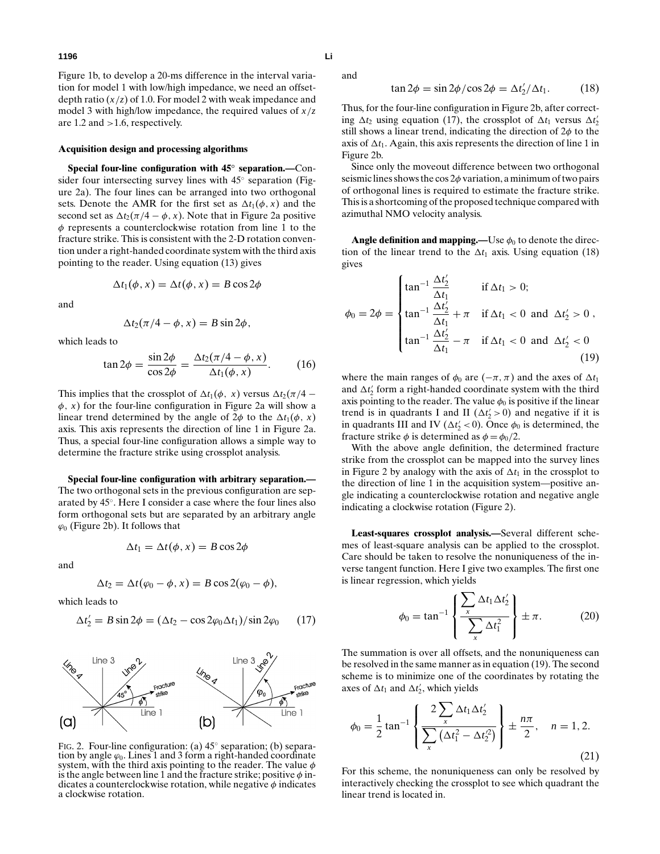Figure 1b, to develop a 20-ms difference in the interval variation for model 1 with low/high impedance, we need an offsetdepth ratio  $(x/z)$  of 1.0. For model 2 with weak impedance and model 3 with high/low impedance, the required values of *x*/*z* are 1.2 and >1.6, respectively.

#### **Acquisition design and processing algorithms**

**Special four-line configuration with 45***◦* **separation.—**Consider four intersecting survey lines with 45◦ separation (Figure 2a). The four lines can be arranged into two orthogonal sets. Denote the AMR for the first set as  $\Delta t_1(\phi, x)$  and the second set as  $\Delta t_2(\pi/4 - \phi, x)$ . Note that in Figure 2a positive  $\phi$  represents a counterclockwise rotation from line 1 to the fracture strike. This is consistent with the 2-D rotation convention under a right-handed coordinate system with the third axis pointing to the reader. Using equation (13) gives

$$
\Delta t_1(\phi, x) = \Delta t(\phi, x) = B \cos 2\phi
$$

and

$$
\Delta t_2(\pi/4-\phi,x)=B\sin 2\phi,
$$

which leads to

$$
\tan 2\phi = \frac{\sin 2\phi}{\cos 2\phi} = \frac{\Delta t_2 (\pi/4 - \phi, x)}{\Delta t_1 (\phi, x)}.
$$
 (16)

This implies that the crossplot of  $\Delta t_1(\phi, x)$  versus  $\Delta t_2(\pi/4 \phi$ , *x*) for the four-line configuration in Figure 2a will show a linear trend determined by the angle of  $2\phi$  to the  $\Delta t_1(\phi, x)$ axis. This axis represents the direction of line 1 in Figure 2a. Thus, a special four-line configuration allows a simple way to determine the fracture strike using crossplot analysis.

**Special four-line configuration with arbitrary separation.—** The two orthogonal sets in the previous configuration are separated by 45◦. Here I consider a case where the four lines also form orthogonal sets but are separated by an arbitrary angle  $\varphi_0$  (Figure 2b). It follows that

$$
\Delta t_1 = \Delta t(\phi, x) = B \cos 2\phi
$$

and

$$
\Delta t_2 = \Delta t (\varphi_0 - \phi, x) = B \cos 2(\varphi_0 - \phi),
$$

which leads to

$$
\Delta t_2' = B \sin 2\phi = (\Delta t_2 - \cos 2\varphi_0 \Delta t_1)/\sin 2\varphi_0 \qquad (17)
$$



FIG. 2. Four-line configuration: (a) 45◦ separation; (b) separation by angle  $\varphi_0$ . Lines 1 and 3 form a right-handed coordinate system, with the third axis pointing to the reader. The value  $\phi$ is the angle between line 1 and the fracture strike; positive  $\phi$  indicates a counterclockwise rotation, while negative  $\phi$  indicates a clockwise rotation.

and

$$
\tan 2\phi = \sin 2\phi / \cos 2\phi = \Delta t_2' / \Delta t_1. \tag{18}
$$

Thus, for the four-line configuration in Figure 2b, after correcting  $\Delta t_2$  using equation (17), the crossplot of  $\Delta t_1$  versus  $\Delta t_2'$ still shows a linear trend, indicating the direction of  $2\phi$  to the axis of  $\Delta t_1$ . Again, this axis represents the direction of line 1 in Figure 2b.

Since only the moveout difference between two orthogonal seismic lines shows the cos  $2\phi$  variation, a minimum of two pairs of orthogonal lines is required to estimate the fracture strike. This is a shortcoming of the proposed technique compared with azimuthal NMO velocity analysis.

**Angle definition and mapping.—**Use  $\phi_0$  to denote the direction of the linear trend to the  $\Delta t_1$  axis. Using equation (18) gives

$$
\phi_0 = 2\phi = \begin{cases} \tan^{-1} \frac{\Delta t'_2}{\Delta t_1} & \text{if } \Delta t_1 > 0; \\ \tan^{-1} \frac{\Delta t'_2}{\Delta t_1} + \pi & \text{if } \Delta t_1 < 0 \text{ and } \Delta t'_2 > 0, \\ \tan^{-1} \frac{\Delta t'_2}{\Delta t_1} - \pi & \text{if } \Delta t_1 < 0 \text{ and } \Delta t'_2 < 0 \end{cases}
$$
(19)

where the main ranges of  $\phi_0$  are  $(-\pi, \pi)$  and the axes of  $\Delta t_1$ and  $\Delta t_2$  form a right-handed coordinate system with the third axis pointing to the reader. The value  $\phi_0$  is positive if the linear trend is in quadrants I and II ( $\Delta t'_2 > 0$ ) and negative if it is in quadrants III and IV ( $\Delta t'_2 < 0$ ). Once  $\phi_0$  is determined, the fracture strike  $\phi$  is determined as  $\phi = \phi_0/2$ .

With the above angle definition, the determined fracture strike from the crossplot can be mapped into the survey lines in Figure 2 by analogy with the axis of  $\Delta t_1$  in the crossplot to the direction of line 1 in the acquisition system—positive angle indicating a counterclockwise rotation and negative angle indicating a clockwise rotation (Figure 2).

**Least-squares crossplot analysis.—**Several different schemes of least-square analysis can be applied to the crossplot. Care should be taken to resolve the nonuniqueness of the inverse tangent function. Here I give two examples. The first one is linear regression, which yields

$$
\phi_0 = \tan^{-1} \left\{ \frac{\sum_{x} \Delta t_1 \Delta t_2'}{\sum_{x} \Delta t_1^2} \right\} \pm \pi.
$$
 (20)

The summation is over all offsets, and the nonuniqueness can be resolved in the same manner as in equation (19). The second scheme is to minimize one of the coordinates by rotating the axes of  $\Delta t_1$  and  $\Delta t_2$ , which yields

$$
\phi_0 = \frac{1}{2} \tan^{-1} \left\{ \frac{2 \sum_{x} \Delta t_1 \Delta t_2'}{\sum_{x} (\Delta t_1^2 - \Delta t_2^2)} \right\} \pm \frac{n\pi}{2}, \quad n = 1, 2.
$$
\n(21)

For this scheme, the nonuniqueness can only be resolved by interactively checking the crossplot to see which quadrant the linear trend is located in.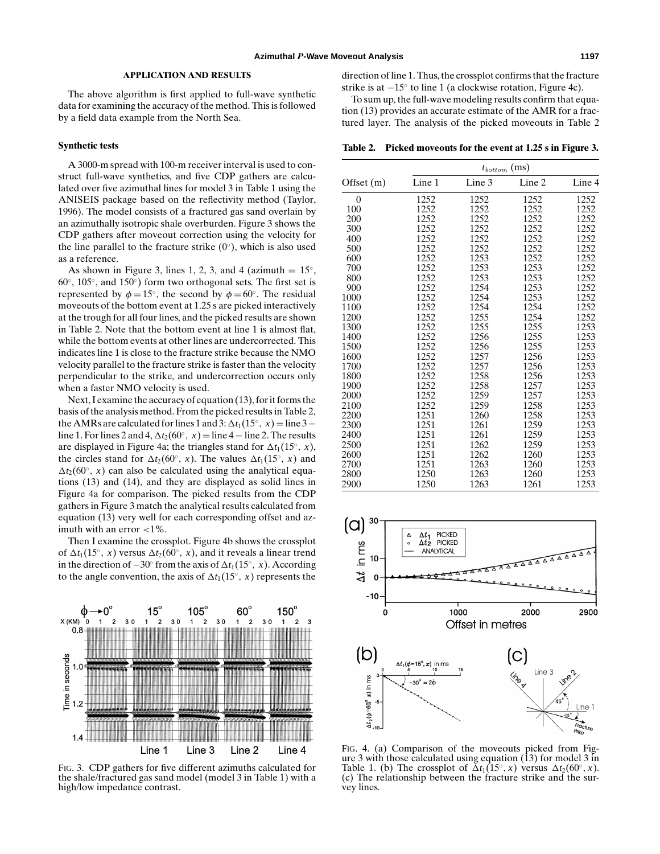## **APPLICATION AND RESULTS**

The above algorithm is first applied to full-wave synthetic data for examining the accuracy of the method. This is followed by a field data example from the North Sea.

#### **Synthetic tests**

A 3000-m spread with 100-m receiver interval is used to construct full-wave synthetics, and five CDP gathers are calculated over five azimuthal lines for model 3 in Table 1 using the ANISEIS package based on the reflectivity method (Taylor, 1996). The model consists of a fractured gas sand overlain by an azimuthally isotropic shale overburden. Figure 3 shows the CDP gathers after moveout correction using the velocity for the line parallel to the fracture strike  $(0<sup>°</sup>)$ , which is also used as a reference.

As shown in Figure 3, lines 1, 2, 3, and 4 (azimuth  $= 15°$ ,  $60^\circ$ ,  $105^\circ$ , and  $150^\circ$ ) form two orthogonal sets. The first set is represented by  $\phi = 15^\circ$ , the second by  $\phi = 60^\circ$ . The residual moveouts of the bottom event at 1.25 s are picked interactively at the trough for all four lines, and the picked results are shown in Table 2. Note that the bottom event at line 1 is almost flat, while the bottom events at other lines are undercorrected. This indicates line 1 is close to the fracture strike because the NMO velocity parallel to the fracture strike is faster than the velocity perpendicular to the strike, and undercorrection occurs only when a faster NMO velocity is used.

Next, I examine the accuracy of equation (13), for it forms the basis of the analysis method. From the picked results in Table 2, the AMRs are calculated for lines 1 and 3:  $\Delta t_1(15°, x) =$  line 3 – line 1. For lines 2 and 4,  $\Delta t_2(60°, x) =$  line 4 – line 2. The results are displayed in Figure 4a; the triangles stand for  $\Delta t_1(15°, x)$ , the circles stand for  $\Delta t_2(60°, x)$ . The values  $\Delta t_1(15°, x)$  and  $\Delta t_2(60°, x)$  can also be calculated using the analytical equations (13) and (14), and they are displayed as solid lines in Figure 4a for comparison. The picked results from the CDP gathers in Figure 3 match the analytical results calculated from equation (13) very well for each corresponding offset and azimuth with an error  $<$ 1%.

Then I examine the crossplot. Figure 4b shows the crossplot of  $\Delta t_1(15\degree, x)$  versus  $\Delta t_2(60\degree, x)$ , and it reveals a linear trend in the direction of  $-30°$  from the axis of  $\Delta t_1(15°, x)$ . According to the angle convention, the axis of  $\Delta t_1(15°, x)$  represents the



FIG. 3. CDP gathers for five different azimuths calculated for the shale/fractured gas sand model (model 3 in Table 1) with a high/low impedance contrast.

direction of line 1. Thus, the crossplot confirms that the fracture strike is at −15◦ to line 1 (a clockwise rotation, Figure 4c).

To sum up, the full-wave modeling results confirm that equation (13) provides an accurate estimate of the AMR for a fractured layer. The analysis of the picked moveouts in Table 2

**Table 2. Picked moveouts for the event at 1.25 s in Figure 3.**

|              | $t_{bottom}$ (ms) |        |        |        |  |  |
|--------------|-------------------|--------|--------|--------|--|--|
| Offset $(m)$ | Line 1            | Line 3 | Line 2 | Line 4 |  |  |
| 0            | 1252              | 1252   | 1252   | 1252   |  |  |
| 100          | 1252              | 1252   | 1252   | 1252   |  |  |
| 200          | 1252              | 1252   | 1252   | 1252   |  |  |
| 300          | 1252              | 1252   | 1252   | 1252   |  |  |
| 400          | 1252              | 1252   | 1252   | 1252   |  |  |
| 500          | 1252              | 1252   | 1252   | 1252   |  |  |
| 600          | 1252              | 1253   | 1252   | 1252   |  |  |
| 700          | 1252              | 1253   | 1253   | 1252   |  |  |
| 800          | 1252              | 1253   | 1253   | 1252   |  |  |
| 900          | 1252              | 1254   | 1253   | 1252   |  |  |
| 1000         | 1252              | 1254   | 1253   | 1252   |  |  |
| 1100         | 1252              | 1254   | 1254   | 1252   |  |  |
| 1200         | 1252              | 1255   | 1254   | 1252   |  |  |
| 1300         | 1252              | 1255   | 1255   | 1253   |  |  |
| 1400         | 1252              | 1256   | 1255   | 1253   |  |  |
| 1500         | 1252              | 1256   | 1255   | 1253   |  |  |
| 1600         | 1252              | 1257   | 1256   | 1253   |  |  |
| 1700         | 1252              | 1257   | 1256   | 1253   |  |  |
| 1800         | 1252              | 1258   | 1256   | 1253   |  |  |
| 1900         | 1252              | 1258   | 1257   | 1253   |  |  |
| 2000         | 1252              | 1259   | 1257   | 1253   |  |  |
| 2100         | 1252              | 1259   | 1258   | 1253   |  |  |
| 2200         | 1251              | 1260   | 1258   | 1253   |  |  |
| 2300         | 1251              | 1261   | 1259   | 1253   |  |  |
| 2400         | 1251              | 1261   | 1259   | 1253   |  |  |
| 2500         | 1251              | 1262   | 1259   | 1253   |  |  |
| 2600         | 1251              | 1262   | 1260   | 1253   |  |  |
| 2700         | 1251              | 1263   | 1260   | 1253   |  |  |
| 2800         | 1250              | 1263   | 1260   | 1253   |  |  |
| 2900         | 1250              | 1263   | 1261   | 1253   |  |  |



FIG. 4. (a) Comparison of the moveouts picked from Figure 3 with those calculated using equation  $(13)$  for model 3 in Table 1. (b) The crossplot of  $\Delta t_1(15°, x)$  versus  $\Delta t_2(60°, x)$ . (c) The relationship between the fracture strike and the survey lines.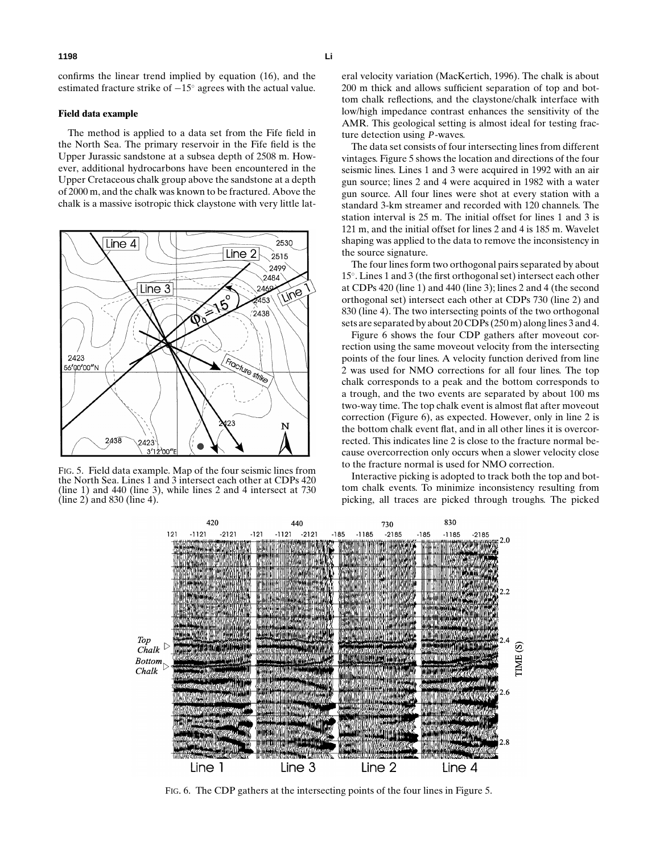confirms the linear trend implied by equation (16), and the estimated fracture strike of −15◦ agrees with the actual value.

## **Field data example**

The method is applied to a data set from the Fife field in the North Sea. The primary reservoir in the Fife field is the Upper Jurassic sandstone at a subsea depth of 2508 m. However, additional hydrocarbons have been encountered in the Upper Cretaceous chalk group above the sandstone at a depth of 2000 m, and the chalk was known to be fractured. Above the chalk is a massive isotropic thick claystone with very little lat-



FIG. 5. Field data example. Map of the four seismic lines from the North Sea. Lines 1 and 3 intersect each other at CDPs 420 (line 1) and 440 (line 3), while lines 2 and 4 intersect at 730 (line 2) and 830 (line 4).

eral velocity variation (MacKertich, 1996). The chalk is about 200 m thick and allows sufficient separation of top and bottom chalk reflections, and the claystone/chalk interface with low/high impedance contrast enhances the sensitivity of the AMR. This geological setting is almost ideal for testing fracture detection using *P*-waves.

The data set consists of four intersecting lines from different vintages. Figure 5 shows the location and directions of the four seismic lines. Lines 1 and 3 were acquired in 1992 with an air gun source; lines 2 and 4 were acquired in 1982 with a water gun source. All four lines were shot at every station with a standard 3-km streamer and recorded with 120 channels. The station interval is 25 m. The initial offset for lines 1 and 3 is 121 m, and the initial offset for lines 2 and 4 is 185 m. Wavelet shaping was applied to the data to remove the inconsistency in the source signature.

The four lines form two orthogonal pairs separated by about 15◦. Lines 1 and 3 (the first orthogonal set) intersect each other at CDPs 420 (line 1) and 440 (line 3); lines 2 and 4 (the second orthogonal set) intersect each other at CDPs 730 (line 2) and 830 (line 4). The two intersecting points of the two orthogonal sets are separated by about 20 CDPs (250 m) along lines 3 and 4.

Figure 6 shows the four CDP gathers after moveout correction using the same moveout velocity from the intersecting points of the four lines. A velocity function derived from line 2 was used for NMO corrections for all four lines. The top chalk corresponds to a peak and the bottom corresponds to a trough, and the two events are separated by about 100 ms two-way time. The top chalk event is almost flat after moveout correction (Figure 6), as expected. However, only in line 2 is the bottom chalk event flat, and in all other lines it is overcorrected. This indicates line 2 is close to the fracture normal because overcorrection only occurs when a slower velocity close to the fracture normal is used for NMO correction.

Interactive picking is adopted to track both the top and bottom chalk events. To minimize inconsistency resulting from picking, all traces are picked through troughs. The picked



FIG. 6. The CDP gathers at the intersecting points of the four lines in Figure 5.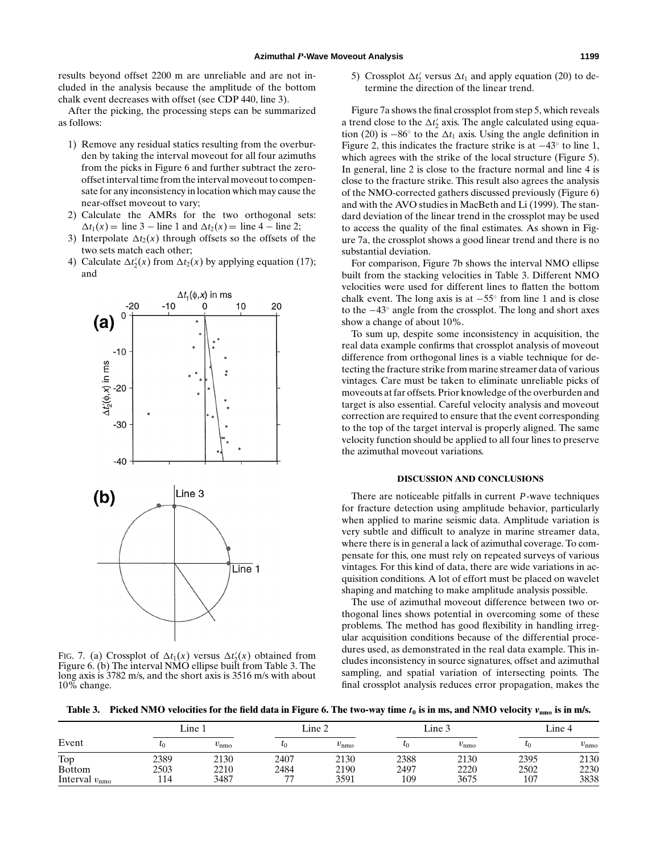results beyond offset 2200 m are unreliable and are not included in the analysis because the amplitude of the bottom chalk event decreases with offset (see CDP 440, line 3).

After the picking, the processing steps can be summarized as follows:

- 1) Remove any residual statics resulting from the overburden by taking the interval moveout for all four azimuths from the picks in Figure 6 and further subtract the zerooffset interval time from the interval moveout to compensate for any inconsistency in location which may cause the near-offset moveout to vary;
- 2) Calculate the AMRs for the two orthogonal sets:  $\Delta t_1(x) = \text{line } 3 - \text{line } 1 \text{ and } \Delta t_2(x) = \text{line } 4 - \text{line } 2;$
- 3) Interpolate  $\Delta t_2(x)$  through offsets so the offsets of the two sets match each other;
- 4) Calculate  $\Delta t_2'(x)$  from  $\Delta t_2(x)$  by applying equation (17); and



FIG. 7. (a) Crossplot of  $\Delta t_1(x)$  versus  $\Delta t_2'(x)$  obtained from Figure 6. (b) The interval NMO ellipse built from Table 3. The long axis is 3782 m/s, and the short axis is 3516 m/s with about 10% change.

5) Crossplot  $\Delta t_2'$  versus  $\Delta t_1$  and apply equation (20) to determine the direction of the linear trend.

Figure 7a shows the final crossplot from step 5, which reveals a trend close to the  $\Delta t_2$  axis. The angle calculated using equation (20) is  $-86°$  to the  $\Delta t_1$  axis. Using the angle definition in Figure 2, this indicates the fracture strike is at  $-43°$  to line 1, which agrees with the strike of the local structure (Figure 5). In general, line 2 is close to the fracture normal and line 4 is close to the fracture strike. This result also agrees the analysis of the NMO-corrected gathers discussed previously (Figure 6) and with the AVO studies in MacBeth and Li (1999). The standard deviation of the linear trend in the crossplot may be used to access the quality of the final estimates. As shown in Figure 7a, the crossplot shows a good linear trend and there is no substantial deviation.

For comparison, Figure 7b shows the interval NMO ellipse built from the stacking velocities in Table 3. Different NMO velocities were used for different lines to flatten the bottom chalk event. The long axis is at  $-55^\circ$  from line 1 and is close to the −43◦ angle from the crossplot. The long and short axes show a change of about 10%.

To sum up, despite some inconsistency in acquisition, the real data example confirms that crossplot analysis of moveout difference from orthogonal lines is a viable technique for detecting the fracture strike from marine streamer data of various vintages. Care must be taken to eliminate unreliable picks of moveouts at far offsets. Prior knowledge of the overburden and target is also essential. Careful velocity analysis and moveout correction are required to ensure that the event corresponding to the top of the target interval is properly aligned. The same velocity function should be applied to all four lines to preserve the azimuthal moveout variations.

## **DISCUSSION AND CONCLUSIONS**

There are noticeable pitfalls in current *P*-wave techniques for fracture detection using amplitude behavior, particularly when applied to marine seismic data. Amplitude variation is very subtle and difficult to analyze in marine streamer data, where there is in general a lack of azimuthal coverage. To compensate for this, one must rely on repeated surveys of various vintages. For this kind of data, there are wide variations in acquisition conditions. A lot of effort must be placed on wavelet shaping and matching to make amplitude analysis possible.

The use of azimuthal moveout difference between two orthogonal lines shows potential in overcoming some of these problems. The method has good flexibility in handling irregular acquisition conditions because of the differential procedures used, as demonstrated in the real data example. This includes inconsistency in source signatures, offset and azimuthal sampling, and spatial variation of intersecting points. The final crossplot analysis reduces error propagation, makes the

**Table 3. Picked NMO velocities for the field data in Figure 6. The two-way time** *t***<sup>0</sup> is in ms, and NMO velocity** *v***nmo is in m/s.**

|                           | Line 1    |               | Line 2  |               | Line 3  |               | Line 4    |               |
|---------------------------|-----------|---------------|---------|---------------|---------|---------------|-----------|---------------|
| Event                     | $\iota_0$ | $v_{\rm nmo}$ | $\iota$ | $v_{\rm nmo}$ | $l_{0}$ | $v_{\rm nmo}$ | $\iota_0$ | $v_{\rm nmo}$ |
| Top                       | 2389      | 2130          | 2407    | 2130          | 2388    | 2130          | 2395      | 2130          |
| <b>Bottom</b>             | 2503      | 2210          | 2484    | 2190          | 2497    | 2220          | 2502      | 2230          |
| Interval $v_{\text{nmo}}$ | 114       | 3487          | ~~      | 3591          | 109     | 3675          | 107       | 3838          |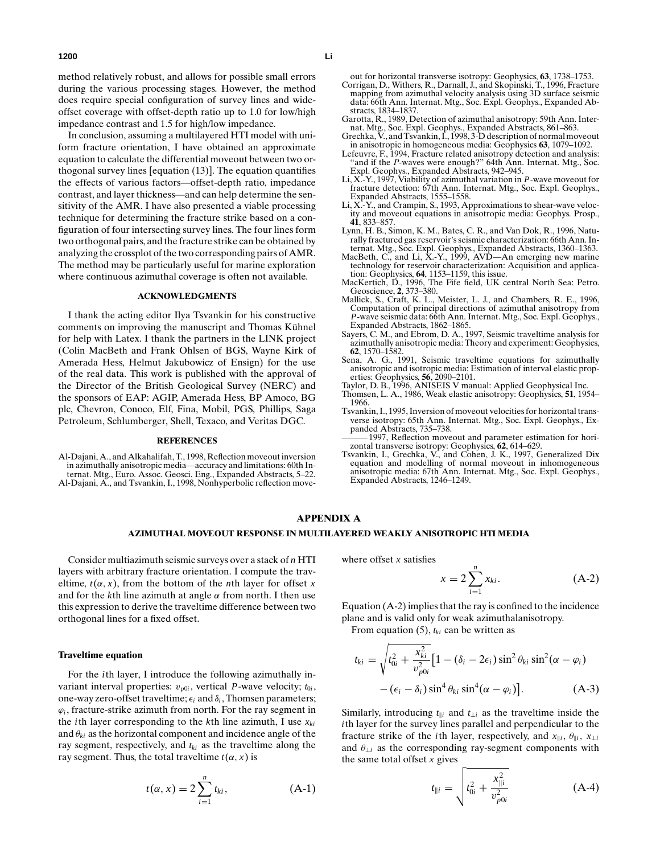method relatively robust, and allows for possible small errors during the various processing stages. However, the method does require special configuration of survey lines and wideoffset coverage with offset-depth ratio up to 1.0 for low/high impedance contrast and 1.5 for high/low impedance.

In conclusion, assuming a multilayered HTI model with uniform fracture orientation, I have obtained an approximate equation to calculate the differential moveout between two orthogonal survey lines [equation (13)]. The equation quantifies the effects of various factors—offset-depth ratio, impedance contrast, and layer thickness—and can help determine the sensitivity of the AMR. I have also presented a viable processing technique for determining the fracture strike based on a configuration of four intersecting survey lines. The four lines form two orthogonal pairs, and the fracture strike can be obtained by analyzing the crossplot of the two corresponding pairs of AMR. The method may be particularly useful for marine exploration where continuous azimuthal coverage is often not available.

# **ACKNOWLEDGMENTS**

I thank the acting editor Ilya Tsvankin for his constructive comments on improving the manuscript and Thomas Kühnel for help with Latex. I thank the partners in the LINK project (Colin MacBeth and Frank Ohlsen of BGS, Wayne Kirk of Amerada Hess, Helmut Jakubowicz of Ensign) for the use of the real data. This work is published with the approval of the Director of the British Geological Survey (NERC) and the sponsors of EAP: AGIP, Amerada Hess, BP Amoco, BG plc, Chevron, Conoco, Elf, Fina, Mobil, PGS, Phillips, Saga Petroleum, Schlumberger, Shell, Texaco, and Veritas DGC.

#### **REFERENCES**

Al-Dajani, A., and Alkahalifah, T., 1998, Reflection moveout inversion in azimuthally anisotropic media—accuracy and limitations: 60th Internat. Mtg., Euro. Assoc. Geosci. Eng., Expanded Abstracts, 5–22. Al-Dajani, A., and Tsvankin, I., 1998, Nonhyperbolic reflection moveout for horizontal transverse isotropy: Geophysics, **63**, 1738–1753.

- Corrigan, D., Withers, R., Darnall, J., and Skopinski, T., 1996, Fracture mapping from azimuthal velocity analysis using 3D surface seismic data: 66th Ann. Internat. Mtg., Soc. Expl. Geophys., Expanded Abstracts, 1834–1837.
- Garotta, R., 1989, Detection of azimuthal anisotropy: 59th Ann. Internat. Mtg., Soc. Expl. Geophys., Expanded Abstracts, 861–863. Grechka, V., and Tsvankin, I., 1998, 3-D description of normal moveout
- in anisotropic in homogeneous media: Geophysics **63**, 1079–1092.
- Lefeuvre, F., 1994, Fracture related anisotropy detection and analysis: "and if the *P*-waves were enough?" 64th Ann. Internat. Mtg., Soc. Expl. Geophys., Expanded Abstracts, 942–945.
- Li, X.-Y., 1997, Viability of azimuthal variation in *P*-wave moveout for fracture detection: 67th Ann. Internat. Mtg., Soc. Expl. Geophys., Expanded Abstracts, 1555–1558.
- Li, X.-Y., and Crampin, S., 1993, Approximations to shear-wave velocity and moveout equations in anisotropic media: Geophys. Prosp., **41**, 833–857.
- Lynn, H. B., Simon, K. M., Bates, C. R., and Van Dok, R., 1996, Naturally fractured gas reservoir's seismic characterization: 66th Ann. In-
- ternat. Mtg., Soc. Expl. Geophys., Expanded Abstracts, 1360–1363. MacBeth, C., and Li, X.-Y., 1999, AVD—An emerging new marine technology for reservoir characterization: Acquisition and application: Geophysics, **64**, 1153–1159, this issue.
- MacKertich, D., 1996, The Fife field, UK central North Sea: Petro. Geoscience, **2**, 373–380.
- Mallick, S., Craft, K. L., Meister, L. J., and Chambers, R. E., 1996, Computation of principal directions of azimuthal anisotropy from *P*-wave seismic data: 66th Ann. Internat. Mtg., Soc. Expl. Geophys., Expanded Abstracts, 1862–1865.
- Sayers, C. M., and Ebrom, D. A., 1997, Seismic traveltime analysis for azimuthally anisotropic media: Theory and experiment: Geophysics, **62**, 1570–1582.
- Sena, A. G., 1991, Seismic traveltime equations for azimuthally anisotropic and isotropic media: Estimation of interval elastic properties: Geophysics, **56**, 2090–2101.
- Taylor, D. B., 1996, ANISEIS V manual: Applied Geophysical Inc.
- Thomsen, L. A., 1986, Weak elastic anisotropy: Geophysics, **51**, 1954– 1966.
- Tsvankin, I., 1995, Inversion of moveout velocities for horizontal transverse isotropy: 65th Ann. Internat. Mtg., Soc. Expl. Geophys., Expanded Abstracts, 735–738.
- 1997, Reflection moveout and parameter estimation for horizontal transverse isotropy: Geophysics, **62**, 614–629.
- Tsvankin, I., Grechka, V., and Cohen, J. K., 1997, Generalized Dix equation and modelling of normal moveout in inhomogeneous anisotropic media: 67th Ann. Internat. Mtg., Soc. Expl. Geophys., Expanded Abstracts, 1246–1249.

## **APPENDIX A**

# **AZIMUTHAL MOVEOUT RESPONSE IN MULTILAYERED WEAKLY ANISOTROPIC HTI MEDIA**

Consider multiazimuth seismic surveys over a stack of *n* HTI layers with arbitrary fracture orientation. I compute the traveltime,  $t(\alpha, x)$ , from the bottom of the *n*th layer for offset *x* and for the *k*th line azimuth at angle  $\alpha$  from north. I then use this expression to derive the traveltime difference between two orthogonal lines for a fixed offset.

#### **Traveltime equation**

For the *i*th layer, I introduce the following azimuthally invariant interval properties:  $v_{p0i}$ , vertical *P*-wave velocity;  $t_{0i}$ , one-way zero-offset traveltime;  $\epsilon_i$  and  $\delta_i$ , Thomsen parameters;  $\varphi_i$ , fracture-strike azimuth from north. For the ray segment in the *i*th layer corresponding to the *k*th line azimuth, I use  $x_{ki}$ and  $\theta_{ki}$  as the horizontal component and incidence angle of the ray segment, respectively, and  $t_{ki}$  as the traveltime along the ray segment. Thus, the total traveltime  $t(\alpha, x)$  is

$$
t(\alpha, x) = 2 \sum_{i=1}^{n} t_{ki}, \qquad (A-1)
$$

where offset *x* satisfies

$$
x = 2 \sum_{i=1}^{n} x_{ki}.
$$
 (A-2)

Equation (A-2) implies that the ray is confined to the incidence plane and is valid only for weak azimuthalanisotropy.

From equation  $(5)$ ,  $t_{ki}$  can be written as

$$
t_{ki} = \sqrt{t_{0i}^2 + \frac{x_{ki}^2}{v_{p0i}^2}} \Big[ 1 - (\delta_i - 2\epsilon_i) \sin^2 \theta_{ki} \sin^2 (\alpha - \varphi_i) - (\epsilon_i - \delta_i) \sin^4 \theta_{ki} \sin^4 (\alpha - \varphi_i) \Big].
$$
 (A-3)

Similarly, introducing  $t_{\parallel i}$  and  $t_{\perp i}$  as the traveltime inside the *i*th layer for the survey lines parallel and perpendicular to the fracture strike of the *i*th layer, respectively, and  $x_{\parallel i}$ ,  $\theta_{\parallel i}$ ,  $x_{\perp i}$ and  $\theta_{\perp i}$  as the corresponding ray-segment components with the same total offset *x* gives

$$
t_{\parallel i} = \sqrt{t_{0i}^2 + \frac{x_{\parallel i}^2}{v_{p0i}^2}}
$$
 (A-4)